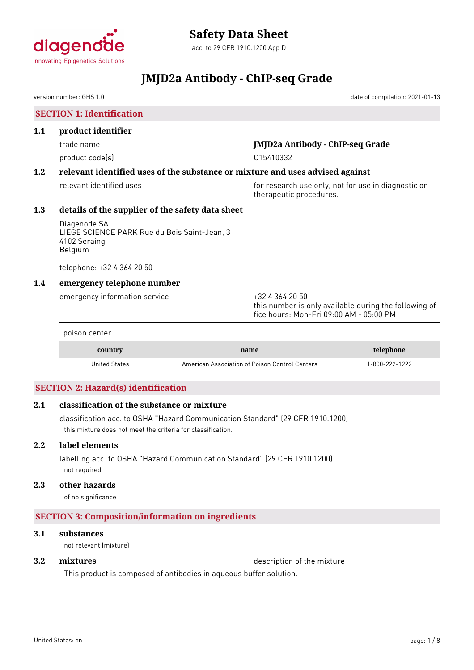

acc. to 29 CFR 1910.1200 App D

# **JMJD2a Antibody - ChIP-seq Grade**

version number: GHS 1.0 date of compilation: 2021-01-13

**SECTION 1: Identification**

### **1.1 product identifier**

product code(s) and contact to contact the contact of the contact of the contact of the contact of the contact of the contact of the contact of the contact of the contact of the contact of the contact of the contact of the

# trade name **JMJD2a Antibody - ChIP-seq Grade**

# **1.2 relevant identified uses of the substance or mixture and uses advised against**

relevant identified uses **for research use only, not for use in diagnostic or** therapeutic procedures.

# **1.3 details of the supplier of the safety data sheet**

Diagenode SA LIEGE SCIENCE PARK Rue du Bois Saint-Jean, 3 4102 Seraing Belgium

telephone: +32 4 364 20 50

# **1.4 emergency telephone number**

emergency information service +32 4 364 20 50

this number is only available during the following office hours: Mon-Fri 09:00 AM - 05:00 PM

| poison center |                                                |                |
|---------------|------------------------------------------------|----------------|
| country       | name                                           | telephone      |
| United States | American Association of Poison Control Centers | 1-800-222-1222 |

# **SECTION 2: Hazard(s) identification**

# **2.1 classification of the substance or mixture**

classification acc. to OSHA "Hazard Communication Standard" (29 CFR 1910.1200) this mixture does not meet the criteria for classification.

# **2.2 label elements**

labelling acc. to OSHA "Hazard Communication Standard" (29 CFR 1910.1200) not required

# **2.3 other hazards**

of no significance

# **SECTION 3: Composition/information on ingredients**

# **3.1 substances**

not relevant (mixture)

**3.2 mixtures** description of the mixture

This product is composed of antibodies in aqueous buffer solution.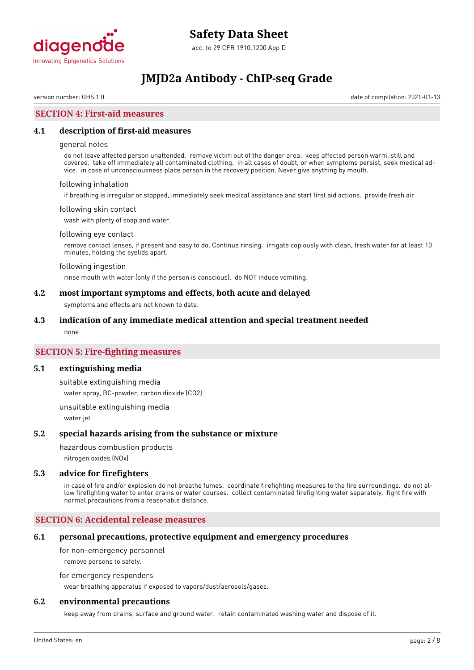

version number: GHS 1.0 date of compilation: 2021-01-13

# **SECTION 4: First-aid measures**

#### **4.1 description of first-aid measures**

#### general notes

do not leave affected person unattended. remove victim out of the danger area. keep affected person warm, still and covered. take off immediately all contaminated clothing. in all cases of doubt, or when symptoms persist, seek medical advice. in case of unconsciousness place person in the recovery position. Never give anything by mouth.

#### following inhalation

if breathing is irregular or stopped, immediately seek medical assistance and start first aid actions. provide fresh air.

#### following skin contact

wash with plenty of soap and water.

#### following eye contact

remove contact lenses, if present and easy to do. Continue rinsing. irrigate copiously with clean, fresh water for at least 10 minutes, holding the eyelids apart.

#### following ingestion

rinse mouth with water (only if the person is conscious). do NOT induce vomiting.

#### **4.2 most important symptoms and effects, both acute and delayed**

symptoms and effects are not known to date.

#### **4.3 indication of any immediate medical attention and special treatment needed**

none

### **SECTION 5: Fire-fighting measures**

#### **5.1 extinguishing media**

suitable extinguishing media water spray, BC-powder, carbon dioxide (CO2)

unsuitable extinguishing media water jet

#### **5.2 special hazards arising from the substance or mixture**

hazardous combustion products

nitrogen oxides (NOx)

#### **5.3 advice for firefighters**

in case of fire and/or explosion do not breathe fumes. coordinate firefighting measures to the fire surroundings. do not allow firefighting water to enter drains or water courses. collect contaminated firefighting water separately. fight fire with normal precautions from a reasonable distance.

### **SECTION 6: Accidental release measures**

#### **6.1 personal precautions, protective equipment and emergency procedures**

for non-emergency personnel

remove persons to safety.

for emergency responders

wear breathing apparatus if exposed to vapors/dust/aerosols/gases.

#### **6.2 environmental precautions**

keep away from drains, surface and ground water. retain contaminated washing water and dispose of it.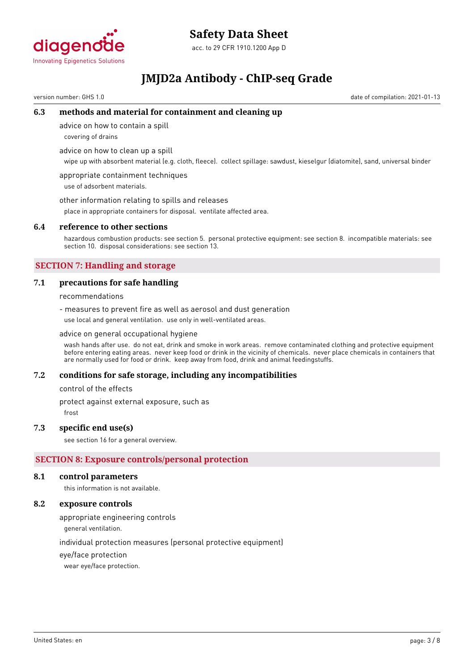

# **Safety Data Sheet**

acc. to 29 CFR 1910.1200 App D

# **JMJD2a Antibody - ChIP-seq Grade**

version number: GHS 1.0 date of compilation: 2021-01-13

### **6.3 methods and material for containment and cleaning up**

advice on how to contain a spill

covering of drains

advice on how to clean up a spill

wipe up with absorbent material (e.g. cloth, fleece). collect spillage: sawdust, kieselgur (diatomite), sand, universal binder

appropriate containment techniques use of adsorbent materials.

other information relating to spills and releases

place in appropriate containers for disposal. ventilate affected area.

#### **6.4 reference to other sections**

hazardous combustion products: see section 5. personal protective equipment: see section 8. incompatible materials: see section 10. disposal considerations: see section 13.

# **SECTION 7: Handling and storage**

### **7.1 precautions for safe handling**

recommendations

- measures to prevent fire as well as aerosol and dust generation use local and general ventilation. use only in well-ventilated areas.

advice on general occupational hygiene

wash hands after use. do not eat, drink and smoke in work areas. remove contaminated clothing and protective equipment before entering eating areas. never keep food or drink in the vicinity of chemicals. never place chemicals in containers that are normally used for food or drink. keep away from food, drink and animal feedingstuffs.

#### **7.2 conditions for safe storage, including any incompatibilities**

control of the effects

protect against external exposure, such as

frost

#### **7.3 specific end use(s)**

see section 16 for a general overview.

# **SECTION 8: Exposure controls/personal protection**

#### **8.1 control parameters**

this information is not available.

### **8.2 exposure controls**

appropriate engineering controls

general ventilation.

individual protection measures (personal protective equipment)

eye/face protection

wear eye/face protection.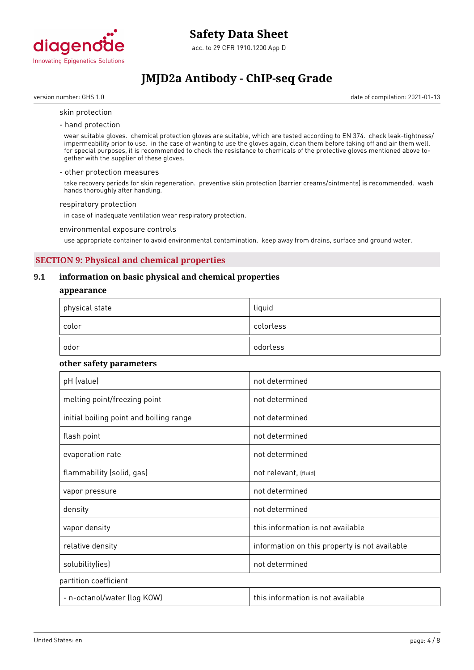

version number: GHS 1.0 date of compilation: 2021-01-13

#### skin protection

- hand protection

wear suitable gloves. chemical protection gloves are suitable, which are tested according to EN 374. check leak-tightness/ impermeability prior to use. in the case of wanting to use the gloves again, clean them before taking off and air them well. for special purposes, it is recommended to check the resistance to chemicals of the protective gloves mentioned above together with the supplier of these gloves.

#### - other protection measures

take recovery periods for skin regeneration. preventive skin protection (barrier creams/ointments) is recommended. wash hands thoroughly after handling.

#### respiratory protection

in case of inadequate ventilation wear respiratory protection.

#### environmental exposure controls

use appropriate container to avoid environmental contamination. keep away from drains, surface and ground water.

# **SECTION 9: Physical and chemical properties**

### **9.1 information on basic physical and chemical properties**

#### **appearance**

| $^\mathrm{+}$ physical state | liquid    |
|------------------------------|-----------|
| color                        | colorless |
| odor                         | odorless  |

#### **other safety parameters**

| pH (value)                              | not determined                                |  |
|-----------------------------------------|-----------------------------------------------|--|
| melting point/freezing point            | not determined                                |  |
| initial boiling point and boiling range | not determined                                |  |
| flash point                             | not determined                                |  |
| evaporation rate                        | not determined                                |  |
| flammability (solid, gas)               | not relevant, (fluid)                         |  |
| vapor pressure                          | not determined                                |  |
| density                                 | not determined                                |  |
| vapor density                           | this information is not available             |  |
| relative density                        | information on this property is not available |  |
| solubility(ies)                         | not determined                                |  |
| partition coefficient                   |                                               |  |
| - n-octanol/water (log KOW)             | this information is not available             |  |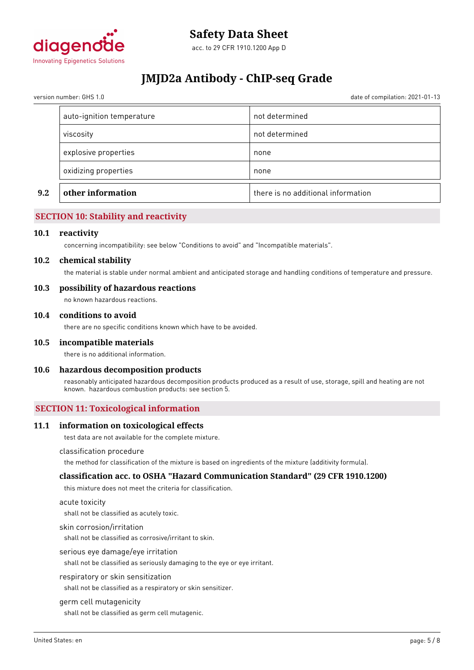

version number: GHS 1.0 date of compilation: 2021-01-13

| not determined<br>viscosity<br>explosive properties<br>none<br>oxidizing properties<br>none | 9.2 | other information         | there is no additional information |
|---------------------------------------------------------------------------------------------|-----|---------------------------|------------------------------------|
|                                                                                             |     |                           |                                    |
|                                                                                             |     |                           |                                    |
|                                                                                             |     |                           |                                    |
|                                                                                             |     | auto-ignition temperature | not determined                     |

# **SECTION 10: Stability and reactivity**

#### **10.1 reactivity**

concerning incompatibility: see below "Conditions to avoid" and "Incompatible materials".

#### **10.2 chemical stability**

the material is stable under normal ambient and anticipated storage and handling conditions of temperature and pressure.

#### **10.3 possibility of hazardous reactions**

no known hazardous reactions.

#### **10.4 conditions to avoid**

there are no specific conditions known which have to be avoided.

#### **10.5 incompatible materials**

there is no additional information.

#### **10.6 hazardous decomposition products**

reasonably anticipated hazardous decomposition products produced as a result of use, storage, spill and heating are not known. hazardous combustion products: see section 5.

#### **SECTION 11: Toxicological information**

#### **11.1 information on toxicological effects**

test data are not available for the complete mixture.

#### classification procedure

the method for classification of the mixture is based on ingredients of the mixture (additivity formula).

#### **classification acc. to OSHA "Hazard Communication Standard" (29 CFR 1910.1200)**

this mixture does not meet the criteria for classification.

#### acute toxicity

shall not be classified as acutely toxic.

#### skin corrosion/irritation

shall not be classified as corrosive/irritant to skin.

#### serious eye damage/eye irritation

shall not be classified as seriously damaging to the eye or eye irritant.

#### respiratory or skin sensitization

shall not be classified as a respiratory or skin sensitizer.

#### germ cell mutagenicity

shall not be classified as germ cell mutagenic.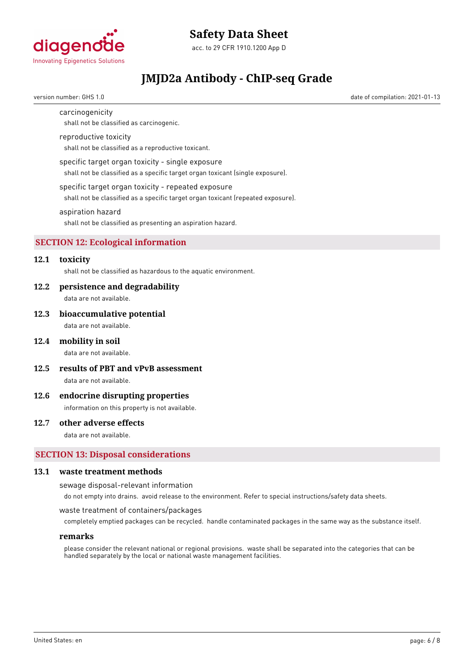

# **Safety Data Sheet**

acc. to 29 CFR 1910.1200 App D

# **JMJD2a Antibody - ChIP-seq Grade**

version number: GHS 1.0 date of compilation: 2021-01-13

carcinogenicity

shall not be classified as carcinogenic.

### reproductive toxicity

shall not be classified as a reproductive toxicant.

#### specific target organ toxicity - single exposure

shall not be classified as a specific target organ toxicant (single exposure).

#### specific target organ toxicity - repeated exposure

shall not be classified as a specific target organ toxicant (repeated exposure).

#### aspiration hazard

shall not be classified as presenting an aspiration hazard.

# **SECTION 12: Ecological information**

# **12.1 toxicity**

shall not be classified as hazardous to the aquatic environment.

#### **12.2 persistence and degradability**

data are not available.

#### **12.3 bioaccumulative potential**

data are not available.

#### **12.4 mobility in soil**

data are not available.

**12.5 results of PBT and vPvB assessment**

data are not available.

#### **12.6 endocrine disrupting properties**

information on this property is not available.

#### **12.7 other adverse effects**

data are not available.

#### **SECTION 13: Disposal considerations**

#### **13.1 waste treatment methods**

sewage disposal-relevant information

do not empty into drains. avoid release to the environment. Refer to special instructions/safety data sheets.

#### waste treatment of containers/packages

completely emptied packages can be recycled. handle contaminated packages in the same way as the substance itself.

#### **remarks**

please consider the relevant national or regional provisions. waste shall be separated into the categories that can be handled separately by the local or national waste management facilities.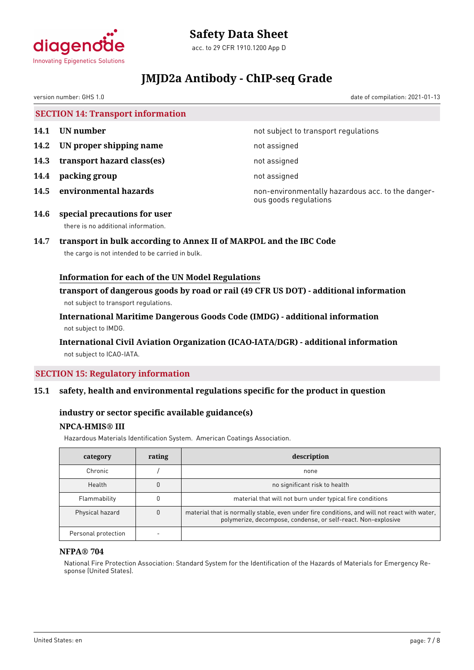

# **Safety Data Sheet**

acc. to 29 CFR 1910.1200 App D

# **JMJD2a Antibody - ChIP-seq Grade**

version number: GHS 1.0 date of compilation: 2021-01-13

**SECTION 14: Transport information**

- **14.2 UN proper shipping name** not assigned
- **14.3 transport hazard class(es)** not assigned
- **14.4 packing group** not assigned
- 

**14.1 UN number 14.1 15.1 14.1 UN number not subject to transport regulations** 

**14.5 environmental hazards non-environmentally hazardous acc. to the danger**ous goods regulations

**14.6 special precautions for user** there is no additional information.

# **14.7 transport in bulk according to Annex II of MARPOL and the IBC Code**

the cargo is not intended to be carried in bulk.

# **Information for each of the UN Model Regulations**

**transport of dangerous goods by road or rail (49 CFR US DOT) - additional information** not subject to transport regulations.

**International Maritime Dangerous Goods Code (IMDG) - additional information** not subject to IMDG.

# **International Civil Aviation Organization (ICAO-IATA/DGR) - additional information** not subject to ICAO-IATA.

# **SECTION 15: Regulatory information**

# **15.1 safety, health and environmental regulations specific for the product in question**

# **industry or sector specific available guidance(s)**

# **NPCA-HMIS® III**

Hazardous Materials Identification System. American Coatings Association.

| category            | rating | description                                                                                                                                                   |  |
|---------------------|--------|---------------------------------------------------------------------------------------------------------------------------------------------------------------|--|
| Chronic             |        | none                                                                                                                                                          |  |
| Health              |        | no significant risk to health                                                                                                                                 |  |
| Flammability        |        | material that will not burn under typical fire conditions                                                                                                     |  |
| Physical hazard     |        | material that is normally stable, even under fire conditions, and will not react with water,<br>polymerize, decompose, condense, or self-react. Non-explosive |  |
| Personal protection |        |                                                                                                                                                               |  |

# **NFPA® 704**

National Fire Protection Association: Standard System for the Identification of the Hazards of Materials for Emergency Response (United States).